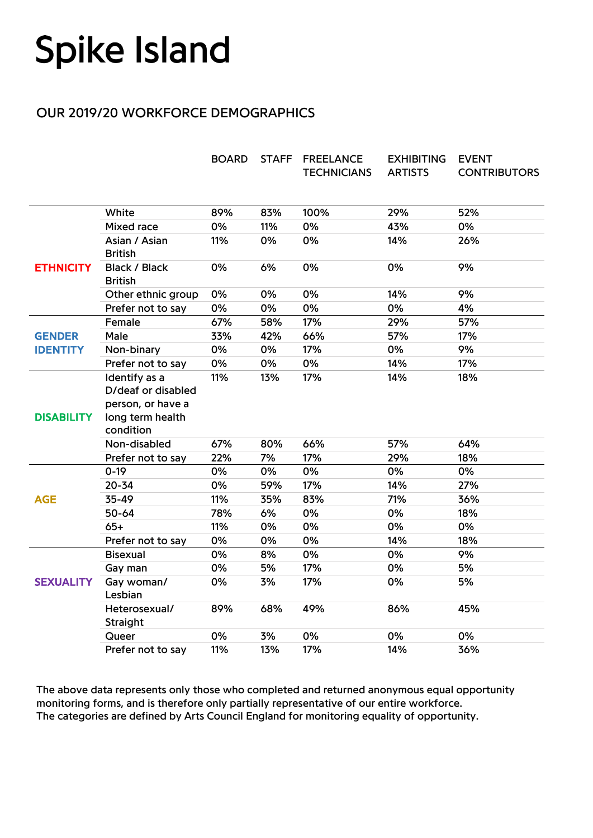## **Spike Island**

## OUR 2019/20 WORKFORCE DEMOGRAPHICS

|                                  |                                                                                           | <b>BOARD</b> | <b>STAFF</b> | <b>FREELANCE</b><br><b>TECHNICIANS</b> | <b>EXHIBITING</b><br><b>ARTISTS</b> | <b>EVENT</b><br><b>CONTRIBUTORS</b> |
|----------------------------------|-------------------------------------------------------------------------------------------|--------------|--------------|----------------------------------------|-------------------------------------|-------------------------------------|
|                                  | White                                                                                     | 89%          | 83%          | 100%                                   | 29%                                 | 52%                                 |
| <b>ETHNICITY</b>                 | <b>Mixed race</b>                                                                         | 0%           | 11%          | 0%                                     | 43%                                 | 0%                                  |
|                                  | Asian / Asian<br><b>British</b>                                                           | 11%          | 0%           | 0%                                     | 14%                                 | 26%                                 |
|                                  | <b>Black / Black</b><br><b>British</b>                                                    | 0%           | 6%           | 0%                                     | 0%                                  | 9%                                  |
|                                  | Other ethnic group                                                                        | 0%           | 0%           | 0%                                     | 14%                                 | 9%                                  |
|                                  | Prefer not to say                                                                         | 0%           | 0%           | 0%                                     | 0%                                  | 4%                                  |
| <b>GENDER</b><br><b>IDENTITY</b> | Female                                                                                    | 67%          | 58%          | 17%                                    | 29%                                 | 57%                                 |
|                                  | Male                                                                                      | 33%          | 42%          | 66%                                    | 57%                                 | 17%                                 |
|                                  | Non-binary                                                                                | 0%           | 0%           | 17%                                    | 0%                                  | 9%                                  |
|                                  | Prefer not to say                                                                         | 0%           | 0%           | 0%                                     | 14%                                 | 17%                                 |
| <b>DISABILITY</b>                | Identify as a<br>D/deaf or disabled<br>person, or have a<br>long term health<br>condition | 11%          | 13%          | 17%                                    | 14%                                 | 18%                                 |
|                                  | Non-disabled                                                                              | 67%          | 80%          | 66%                                    | 57%                                 | 64%                                 |
|                                  | Prefer not to say                                                                         | 22%          | 7%           | 17%                                    | 29%                                 | 18%                                 |
| <b>AGE</b>                       | $0 - 19$                                                                                  | 0%           | 0%           | 0%                                     | 0%                                  | 0%                                  |
|                                  | $20 - 34$                                                                                 | 0%           | 59%          | 17%                                    | 14%                                 | 27%                                 |
|                                  | 35-49                                                                                     | 11%          | 35%          | 83%                                    | 71%                                 | 36%                                 |
|                                  | 50-64                                                                                     | 78%          | 6%           | 0%                                     | 0%                                  | 18%                                 |
|                                  | $65+$                                                                                     | 11%          | 0%           | 0%                                     | 0%                                  | 0%                                  |
|                                  | Prefer not to say                                                                         | 0%           | 0%           | 0%                                     | 14%                                 | 18%                                 |
| <b>SEXUALITY</b>                 | <b>Bisexual</b>                                                                           | 0%           | 8%           | 0%                                     | 0%                                  | 9%                                  |
|                                  | Gay man                                                                                   | 0%           | 5%           | 17%                                    | 0%                                  | 5%                                  |
|                                  | Gay woman/<br>Lesbian                                                                     | 0%           | 3%           | 17%                                    | 0%                                  | 5%                                  |
|                                  | Heterosexual/<br>Straight                                                                 | 89%          | 68%          | 49%                                    | 86%                                 | 45%                                 |
|                                  | Queer                                                                                     | 0%           | 3%           | 0%                                     | 0%                                  | 0%                                  |
|                                  | Prefer not to say                                                                         | 11%          | 13%          | 17%                                    | 14%                                 | 36%                                 |

The above data represents only those who completed and returned anonymous equal opportunity monitoring forms, and is therefore only partially representative of our entire workforce. The categories are defined by Arts Council England for monitoring equality of opportunity.